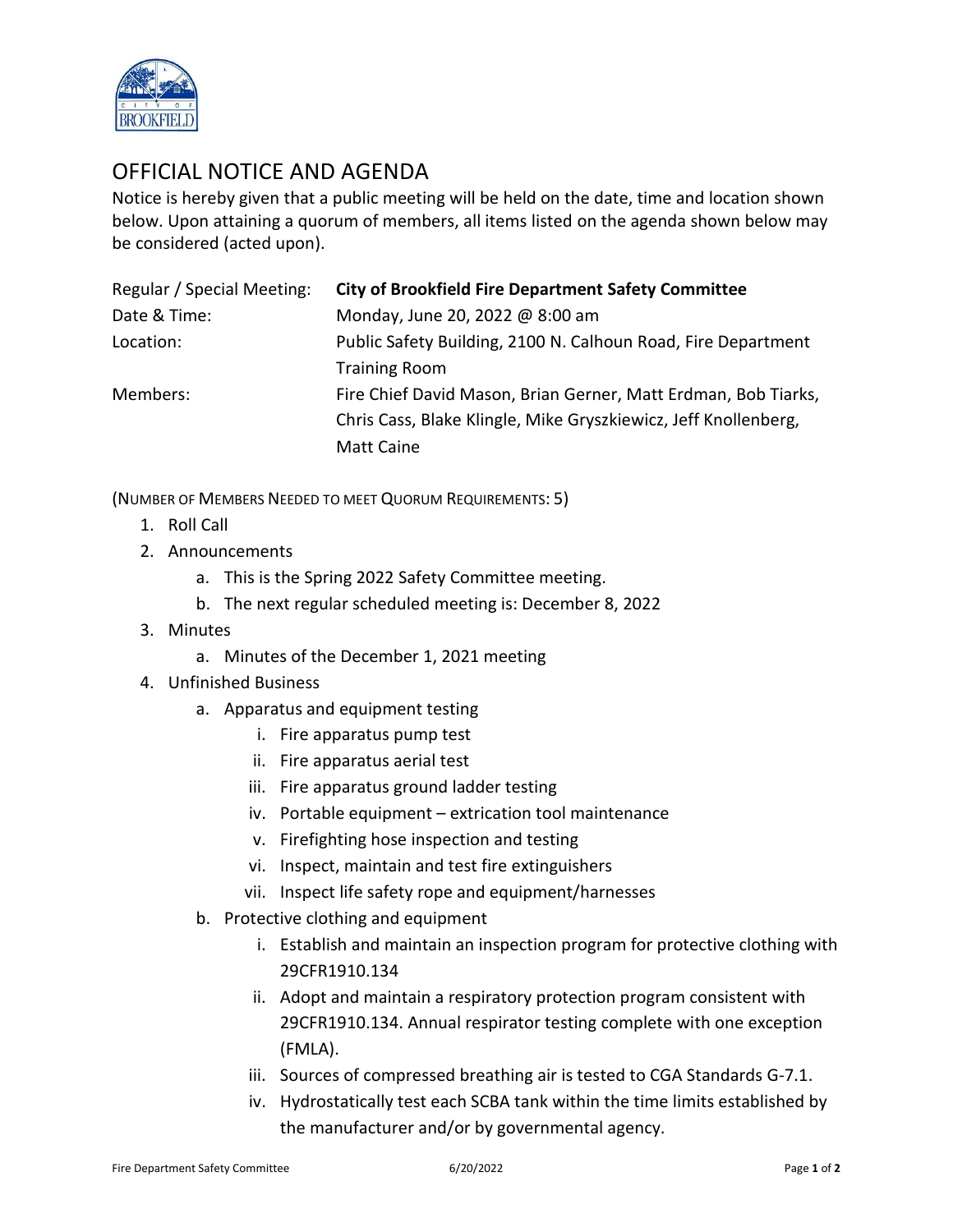

## OFFICIAL NOTICE AND AGENDA

Notice is hereby given that a public meeting will be held on the date, time and location shown below. Upon attaining a quorum of members, all items listed on the agenda shown below may be considered (acted upon).

| Regular / Special Meeting: | <b>City of Brookfield Fire Department Safety Committee</b>      |
|----------------------------|-----------------------------------------------------------------|
| Date & Time:               | Monday, June 20, 2022 @ 8:00 am                                 |
| Location:                  | Public Safety Building, 2100 N. Calhoun Road, Fire Department   |
|                            | <b>Training Room</b>                                            |
| Members:                   | Fire Chief David Mason, Brian Gerner, Matt Erdman, Bob Tiarks,  |
|                            | Chris Cass, Blake Klingle, Mike Gryszkiewicz, Jeff Knollenberg, |
|                            | <b>Matt Caine</b>                                               |

(NUMBER OF MEMBERS NEEDED TO MEET QUORUM REQUIREMENTS: 5)

- 1. Roll Call
- 2. Announcements
	- a. This is the Spring 2022 Safety Committee meeting.
	- b. The next regular scheduled meeting is: December 8, 2022
- 3. Minutes
	- a. Minutes of the December 1, 2021 meeting
- 4. Unfinished Business
	- a. Apparatus and equipment testing
		- i. Fire apparatus pump test
		- ii. Fire apparatus aerial test
		- iii. Fire apparatus ground ladder testing
		- iv. Portable equipment extrication tool maintenance
		- v. Firefighting hose inspection and testing
		- vi. Inspect, maintain and test fire extinguishers
		- vii. Inspect life safety rope and equipment/harnesses
	- b. Protective clothing and equipment
		- i. Establish and maintain an inspection program for protective clothing with 29CFR1910.134
		- ii. Adopt and maintain a respiratory protection program consistent with 29CFR1910.134. Annual respirator testing complete with one exception (FMLA).
		- iii. Sources of compressed breathing air is tested to CGA Standards G-7.1.
		- iv. Hydrostatically test each SCBA tank within the time limits established by the manufacturer and/or by governmental agency.